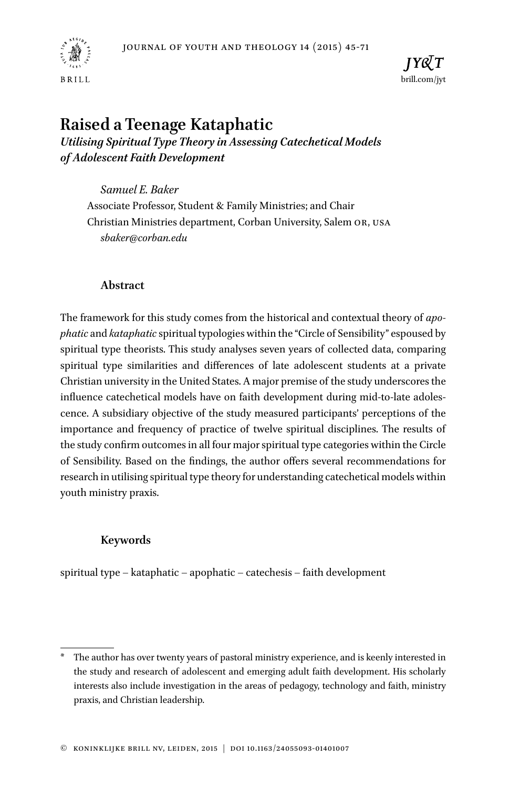



# **Raised a Teenage Kataphatic**

*Utilising Spiritual Type Theory in Assessing Catechetical Models of Adolescent Faith Development*

*Samuel E. Baker*

Associate Professor, Student & Family Ministries; and Chair Christian Ministries department, Corban University, Salem or, USA *sbaker@corban.edu*

# **Abstract**

The framework for this study comes from the historical and contextual theory of *apophatic* and *kataphatic* spiritual typologies within the "Circle of Sensibility" espoused by spiritual type theorists. This study analyses seven years of collected data, comparing spiritual type similarities and differences of late adolescent students at a private Christian university in the United States. A major premise of the study underscores the influence catechetical models have on faith development during mid-to-late adolescence. A subsidiary objective of the study measured participants' perceptions of the importance and frequency of practice of twelve spiritual disciplines. The results of the study confirm outcomes in all four major spiritual type categories within the Circle of Sensibility. Based on the findings, the author offers several recommendations for research in utilising spiritual type theory for understanding catechetical models within youth ministry praxis.

# **Keywords**

spiritual type – kataphatic – apophatic – catechesis – faith development

The author has over twenty years of pastoral ministry experience, and is keenly interested in the study and research of adolescent and emerging adult faith development. His scholarly interests also include investigation in the areas of pedagogy, technology and faith, ministry praxis, and Christian leadership.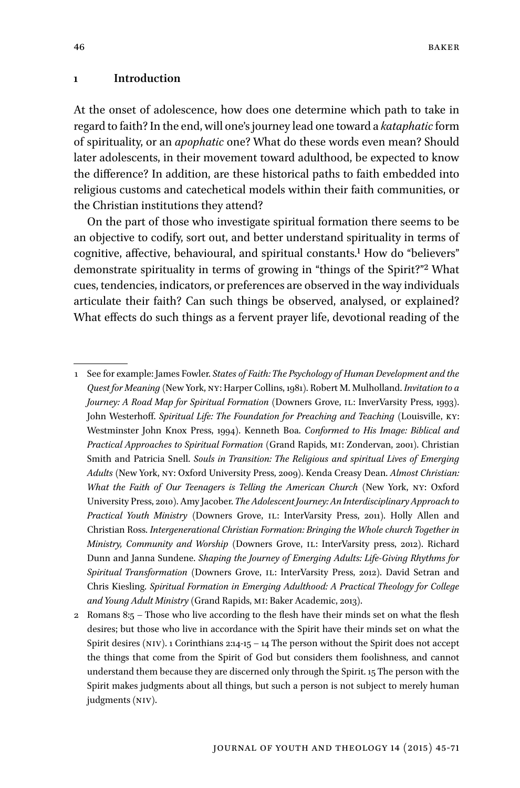### **1 Introduction**

At the onset of adolescence, how does one determine which path to take in regard to faith? In the end, will one's journey lead one toward a *kataphatic* form of spirituality, or an *apophatic* one? What do these words even mean? Should later adolescents, in their movement toward adulthood, be expected to know the difference? In addition, are these historical paths to faith embedded into religious customs and catechetical models within their faith communities, or the Christian institutions they attend?

On the part of those who investigate spiritual formation there seems to be an objective to codify, sort out, and better understand spirituality in terms of cognitive, affective, behavioural, and spiritual constants.1 How do "believers" demonstrate spirituality in terms of growing in "things of the Spirit?"2 What cues, tendencies, indicators, or preferences are observed in the way individuals articulate their faith? Can such things be observed, analysed, or explained? What effects do such things as a fervent prayer life, devotional reading of the

<sup>1</sup> See for example: James Fowler. *States of Faith: The Psychology of Human Development and the Quest for Meaning* (New York, ny: Harper Collins, 1981). Robert M. Mulholland. *Invitation to a Journey: A Road Map for Spiritual Formation* (Downers Grove, il: InverVarsity Press, 1993). John Westerhoff. *Spiritual Life: The Foundation for Preaching and Teaching* (Louisville, ky: Westminster John Knox Press, 1994). Kenneth Boa. *Conformed to His Image: Biblical and Practical Approaches to Spiritual Formation* (Grand Rapids, mi: Zondervan, 2001). Christian Smith and Patricia Snell. *Souls in Transition: The Religious and spiritual Lives of Emerging Adults* (New York, ny: Oxford University Press, 2009). Kenda Creasy Dean. *Almost Christian: What the Faith of Our Teenagers is Telling the American Church* (New York, ny: Oxford University Press, 2010). Amy Jacober. *The Adolescent Journey: An Interdisciplinary Approach to Practical Youth Ministry* (Downers Grove, il: InterVarsity Press, 2011). Holly Allen and Christian Ross. *Intergenerational Christian Formation: Bringing the Whole church Together in Ministry, Community and Worship* (Downers Grove, IL: InterVarsity press, 2012). Richard Dunn and Janna Sundene. *Shaping the Journey of Emerging Adults: Life-Giving Rhythms for Spiritual Transformation* (Downers Grove, il: InterVarsity Press, 2012). David Setran and Chris Kiesling. *Spiritual Formation in Emerging Adulthood: A Practical Theology for College and Young Adult Ministry* (Grand Rapids, mi: Baker Academic, 2013).

<sup>2</sup> Romans 8:5 – Those who live according to the flesh have their minds set on what the flesh desires; but those who live in accordance with the Spirit have their minds set on what the Spirit desires (NIV). 1 Corinthians 2:14-15 – 14 The person without the Spirit does not accept the things that come from the Spirit of God but considers them foolishness, and cannot understand them because they are discerned only through the Spirit. 15 The person with the Spirit makes judgments about all things, but such a person is not subject to merely human judgments (NIV).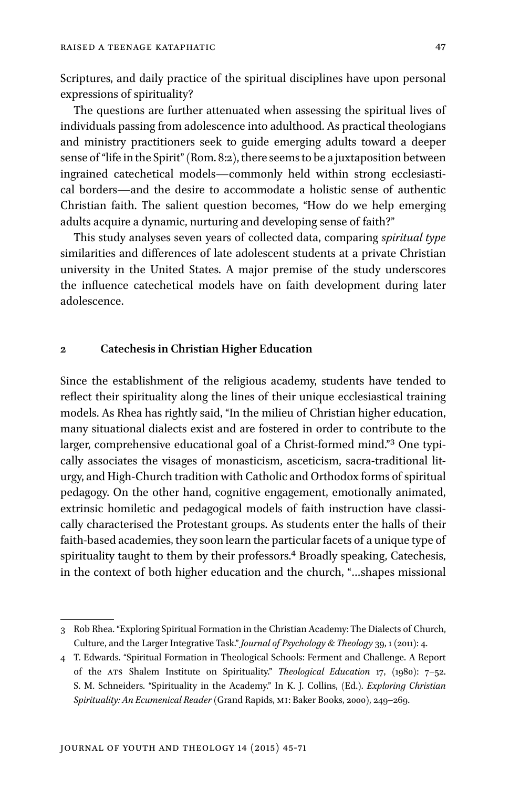Scriptures, and daily practice of the spiritual disciplines have upon personal expressions of spirituality?

The questions are further attenuated when assessing the spiritual lives of individuals passing from adolescence into adulthood. As practical theologians and ministry practitioners seek to guide emerging adults toward a deeper sense of "life in the Spirit" (Rom. 8:2), there seems to be a juxtaposition between ingrained catechetical models—commonly held within strong ecclesiastical borders—and the desire to accommodate a holistic sense of authentic Christian faith. The salient question becomes, "How do we help emerging adults acquire a dynamic, nurturing and developing sense of faith?"

This study analyses seven years of collected data, comparing *spiritual type* similarities and differences of late adolescent students at a private Christian university in the United States. A major premise of the study underscores the influence catechetical models have on faith development during later adolescence.

## **2 Catechesis in Christian Higher Education**

Since the establishment of the religious academy, students have tended to reflect their spirituality along the lines of their unique ecclesiastical training models. As Rhea has rightly said, "In the milieu of Christian higher education, many situational dialects exist and are fostered in order to contribute to the larger, comprehensive educational goal of a Christ-formed mind."3 One typically associates the visages of monasticism, asceticism, sacra-traditional liturgy, and High-Church tradition with Catholic and Orthodox forms of spiritual pedagogy. On the other hand, cognitive engagement, emotionally animated, extrinsic homiletic and pedagogical models of faith instruction have classically characterised the Protestant groups. As students enter the halls of their faith-based academies, they soon learn the particular facets of a unique type of spirituality taught to them by their professors.<sup>4</sup> Broadly speaking, Catechesis, in the context of both higher education and the church, "…shapes missional

<sup>3</sup> Rob Rhea. "Exploring Spiritual Formation in the Christian Academy: The Dialects of Church, Culture, and the Larger Integrative Task." *Journal of Psychology & Theology* 39, 1 (2011): 4.

<sup>4</sup> T. Edwards. "Spiritual Formation in Theological Schools: Ferment and Challenge. A Report of the ats Shalem Institute on Spirituality." *Theological Education* 17, (1980): 7–52. S. M. Schneiders. "Spirituality in the Academy." In K. J. Collins, (Ed.). *Exploring Christian Spirituality: An Ecumenical Reader* (Grand Rapids, mi: Baker Books, 2000), 249–269.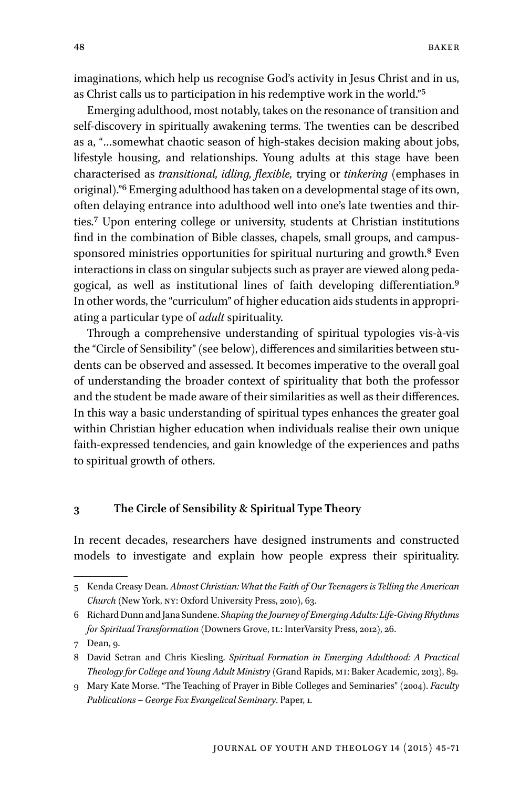imaginations, which help us recognise God's activity in Jesus Christ and in us, as Christ calls us to participation in his redemptive work in the world."5

Emerging adulthood, most notably, takes on the resonance of transition and self-discovery in spiritually awakening terms. The twenties can be described as a, "…somewhat chaotic season of high-stakes decision making about jobs, lifestyle housing, and relationships. Young adults at this stage have been characterised as *transitional, idling, flexible,* trying or *tinkering* (emphases in original)."6 Emerging adulthood has taken on a developmental stage of its own, often delaying entrance into adulthood well into one's late twenties and thirties.7 Upon entering college or university, students at Christian institutions find in the combination of Bible classes, chapels, small groups, and campussponsored ministries opportunities for spiritual nurturing and growth.<sup>8</sup> Even interactions in class on singular subjects such as prayer are viewed along pedagogical, as well as institutional lines of faith developing differentiation.9 In other words, the "curriculum" of higher education aids students in appropriating a particular type of *adult* spirituality.

Through a comprehensive understanding of spiritual typologies vis-à-vis the "Circle of Sensibility" (see below), differences and similarities between students can be observed and assessed. It becomes imperative to the overall goal of understanding the broader context of spirituality that both the professor and the student be made aware of their similarities as well as their differences. In this way a basic understanding of spiritual types enhances the greater goal within Christian higher education when individuals realise their own unique faith-expressed tendencies, and gain knowledge of the experiences and paths to spiritual growth of others.

#### **3 The Circle of Sensibility & Spiritual Type Theory**

In recent decades, researchers have designed instruments and constructed models to investigate and explain how people express their spirituality.

<sup>5</sup> Kenda Creasy Dean. *Almost Christian: What the Faith of Our Teenagers is Telling the American Church* (New York, ny: Oxford University Press, 2010), 63.

<sup>6</sup> Richard Dunn and Jana Sundene. *Shaping the Journey of Emerging Adults: Life-Giving Rhythms for Spiritual Transformation* (Downers Grove, il: InterVarsity Press, 2012), 26.

<sup>7</sup> Dean, 9.

<sup>8</sup> David Setran and Chris Kiesling. *Spiritual Formation in Emerging Adulthood: A Practical Theology for College and Young Adult Ministry* (Grand Rapids, mi: Baker Academic, 2013), 89.

<sup>9</sup> Mary Kate Morse. "The Teaching of Prayer in Bible Colleges and Seminaries" (2004). *Faculty Publications – George Fox Evangelical Seminary*. Paper, 1.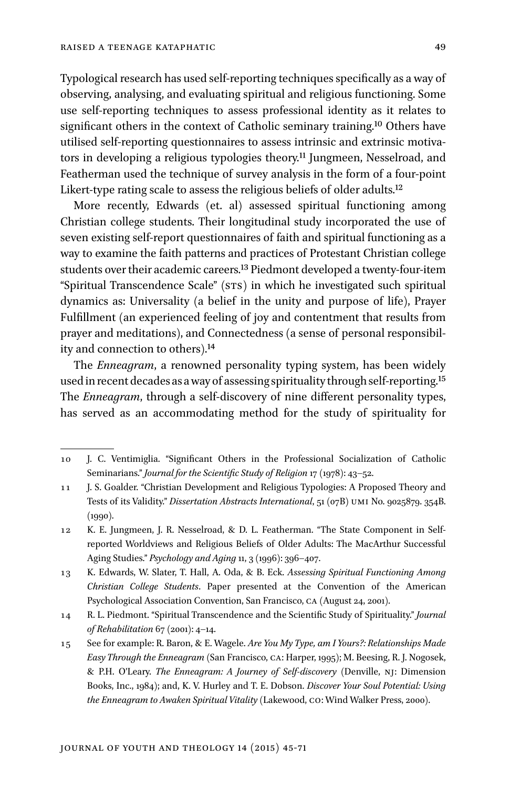Typological research has used self-reporting techniques specifically as a way of observing, analysing, and evaluating spiritual and religious functioning. Some use self-reporting techniques to assess professional identity as it relates to significant others in the context of Catholic seminary training.10 Others have utilised self-reporting questionnaires to assess intrinsic and extrinsic motivators in developing a religious typologies theory.<sup>11</sup> Jungmeen, Nesselroad, and Featherman used the technique of survey analysis in the form of a four-point Likert-type rating scale to assess the religious beliefs of older adults.<sup>12</sup>

More recently, Edwards (et. al) assessed spiritual functioning among Christian college students. Their longitudinal study incorporated the use of seven existing self-report questionnaires of faith and spiritual functioning as a way to examine the faith patterns and practices of Protestant Christian college students over their academic careers.<sup>13</sup> Piedmont developed a twenty-four-item "Spiritual Transcendence Scale" (STS) in which he investigated such spiritual dynamics as: Universality (a belief in the unity and purpose of life), Prayer Fulfillment (an experienced feeling of joy and contentment that results from prayer and meditations), and Connectedness (a sense of personal responsibility and connection to others).14

The *Enneagram*, a renowned personality typing system, has been widely used in recent decades as a way of assessing spirituality through self-reporting.<sup>15</sup> The *Enneagram*, through a self-discovery of nine different personality types, has served as an accommodating method for the study of spirituality for

<sup>10</sup> J. C. Ventimiglia. "Significant Others in the Professional Socialization of Catholic Seminarians." *Journal for the Scientific Study of Religion* 17 (1978): 43–52.

<sup>11</sup> J. S. Goalder. "Christian Development and Religious Typologies: A Proposed Theory and Tests of its Validity." *Dissertation Abstracts International*, 51 (07B) umi No. 9025879. 354B. (1990).

<sup>12</sup> K. E. Jungmeen, J. R. Nesselroad, & D. L. Featherman. "The State Component in Selfreported Worldviews and Religious Beliefs of Older Adults: The MacArthur Successful Aging Studies." *Psychology and Aging* 11, 3 (1996): 396–407.

<sup>13</sup> K. Edwards, W. Slater, T. Hall, A. Oda, & B. Eck. *Assessing Spiritual Functioning Among Christian College Students*. Paper presented at the Convention of the American Psychological Association Convention, San Francisco, ca (August 24, 2001).

<sup>14</sup> R. L. Piedmont. "Spiritual Transcendence and the Scientific Study of Spirituality." *Journal of Rehabilitation* 67 (2001): 4–14.

<sup>15</sup> See for example: R. Baron, & E. Wagele. *Are You My Type, am I Yours?: Relationships Made Easy Through the Enneagram* (San Francisco, ca: Harper, 1995); M. Beesing, R. J. Nogosek, & P.H. O'Leary. *The Enneagram: A Journey of Self-discovery* (Denville, nj: Dimension Books, Inc., 1984); and, K. V. Hurley and T. E. Dobson. *Discover Your Soul Potential: Using the Enneagram to Awaken Spiritual Vitality* (Lakewood, co: Wind Walker Press, 2000).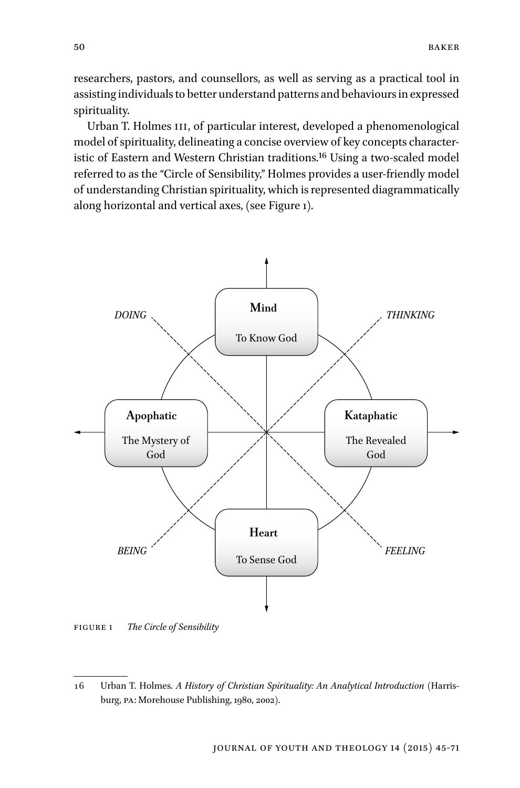researchers, pastors, and counsellors, as well as serving as a practical tool in assisting individuals to better understand patterns and behaviours in expressed spirituality.

Urban T. Holmes III, of particular interest, developed a phenomenological model of spirituality, delineating a concise overview of key concepts characteristic of Eastern and Western Christian traditions.16 Using a two-scaled model referred to as the "Circle of Sensibility," Holmes provides a user-friendly model of understanding Christian spirituality, which is represented diagrammatically along horizontal and vertical axes, (see Figure 1).



Figure 1 *The Circle of Sensibility*

<sup>16</sup> Urban T. Holmes. *A History of Christian Spirituality: An Analytical Introduction* (Harrisburg, pa: Morehouse Publishing, 1980, 2002).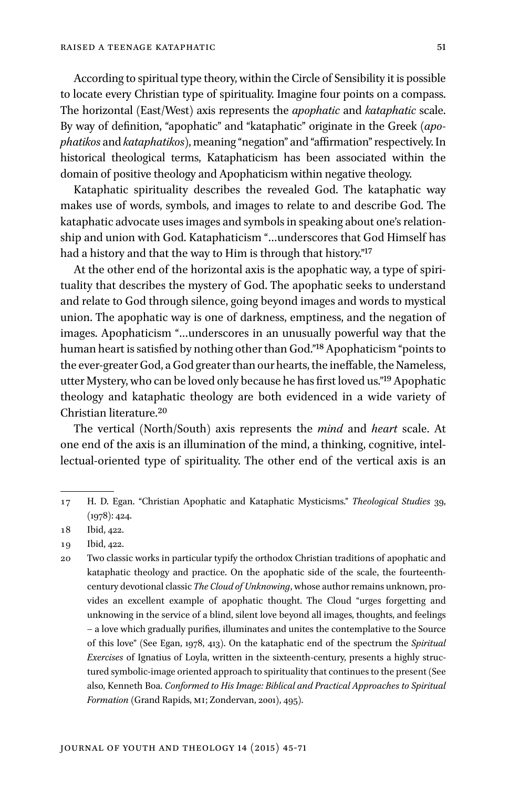According to spiritual type theory, within the Circle of Sensibility it is possible to locate every Christian type of spirituality. Imagine four points on a compass. The horizontal (East/West) axis represents the *apophatic* and *kataphatic* scale. By way of definition, "apophatic" and "kataphatic" originate in the Greek (*apophatikos* and *kataphatikos*), meaning "negation" and "affirmation" respectively. In historical theological terms, Kataphaticism has been associated within the domain of positive theology and Apophaticism within negative theology.

Kataphatic spirituality describes the revealed God. The kataphatic way makes use of words, symbols, and images to relate to and describe God. The kataphatic advocate uses images and symbols in speaking about one's relationship and union with God. Kataphaticism "…underscores that God Himself has had a history and that the way to Him is through that history."17

At the other end of the horizontal axis is the apophatic way, a type of spirituality that describes the mystery of God. The apophatic seeks to understand and relate to God through silence, going beyond images and words to mystical union. The apophatic way is one of darkness, emptiness, and the negation of images. Apophaticism "…underscores in an unusually powerful way that the human heart is satisfied by nothing other than God."<sup>18</sup> Apophaticism "points to the ever-greater God, a God greater than our hearts, the ineffable, the Nameless, utter Mystery, who can be loved only because he has first loved us."19 Apophatic theology and kataphatic theology are both evidenced in a wide variety of Christian literature.20

The vertical (North/South) axis represents the *mind* and *heart* scale. At one end of the axis is an illumination of the mind, a thinking, cognitive, intellectual-oriented type of spirituality. The other end of the vertical axis is an

19 Ibid, 422.

<sup>17</sup> H. D. Egan. "Christian Apophatic and Kataphatic Mysticisms." *Theological Studies* 39, (1978): 424.

<sup>18</sup> Ibid, 422.

<sup>20</sup> Two classic works in particular typify the orthodox Christian traditions of apophatic and kataphatic theology and practice. On the apophatic side of the scale, the fourteenthcentury devotional classic *The Cloud of Unknowing*, whose author remains unknown, provides an excellent example of apophatic thought. The Cloud "urges forgetting and unknowing in the service of a blind, silent love beyond all images, thoughts, and feelings – a love which gradually purifies, illuminates and unites the contemplative to the Source of this love" (See Egan, 1978, 413). On the kataphatic end of the spectrum the *Spiritual Exercises* of Ignatius of Loyla, written in the sixteenth-century, presents a highly structured symbolic-image oriented approach to spirituality that continues to the present (See also, Kenneth Boa. *Conformed to His Image: Biblical and Practical Approaches to Spiritual Formation* (Grand Rapids, mi; Zondervan, 2001), 495).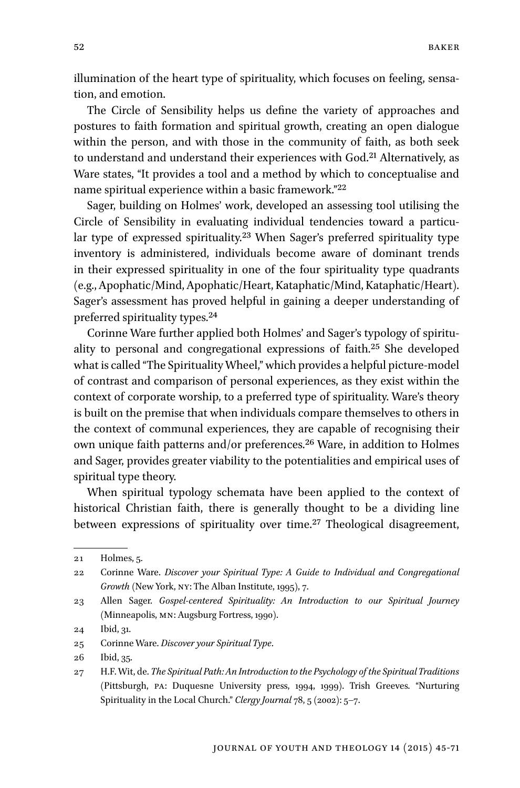illumination of the heart type of spirituality, which focuses on feeling, sensation, and emotion.

The Circle of Sensibility helps us define the variety of approaches and postures to faith formation and spiritual growth, creating an open dialogue within the person, and with those in the community of faith, as both seek to understand and understand their experiences with God.<sup>21</sup> Alternatively, as Ware states, "It provides a tool and a method by which to conceptualise and name spiritual experience within a basic framework."22

Sager, building on Holmes' work, developed an assessing tool utilising the Circle of Sensibility in evaluating individual tendencies toward a particular type of expressed spirituality.<sup>23</sup> When Sager's preferred spirituality type inventory is administered, individuals become aware of dominant trends in their expressed spirituality in one of the four spirituality type quadrants (e.g., Apophatic/Mind, Apophatic/Heart, Kataphatic/Mind, Kataphatic/Heart). Sager's assessment has proved helpful in gaining a deeper understanding of preferred spirituality types.24

Corinne Ware further applied both Holmes' and Sager's typology of spirituality to personal and congregational expressions of faith.25 She developed what is called "The Spirituality Wheel," which provides a helpful picture-model of contrast and comparison of personal experiences, as they exist within the context of corporate worship, to a preferred type of spirituality. Ware's theory is built on the premise that when individuals compare themselves to others in the context of communal experiences, they are capable of recognising their own unique faith patterns and/or preferences.<sup>26</sup> Ware, in addition to Holmes and Sager, provides greater viability to the potentialities and empirical uses of spiritual type theory.

When spiritual typology schemata have been applied to the context of historical Christian faith, there is generally thought to be a dividing line between expressions of spirituality over time.27 Theological disagreement,

<sup>21</sup> Holmes, 5.

<sup>22</sup> Corinne Ware. *Discover your Spiritual Type: A Guide to Individual and Congregational Growth* (New York, ny: The Alban Institute, 1995), 7.

<sup>23</sup> Allen Sager. *Gospel-centered Spirituality: An Introduction to our Spiritual Journey* (Minneapolis, mn: Augsburg Fortress, 1990).

<sup>24</sup> Ibid, 31.

<sup>25</sup> Corinne Ware. *Discover your Spiritual Type*.

<sup>26</sup> Ibid, 35.

<sup>27</sup> H.F. Wit, de. *The Spiritual Path: An Introduction to the Psychology of the Spiritual Traditions* (Pittsburgh, pa: Duquesne University press, 1994, 1999). Trish Greeves. "Nurturing Spirituality in the Local Church." *Clergy Journal* 78, 5 (2002): 5–7.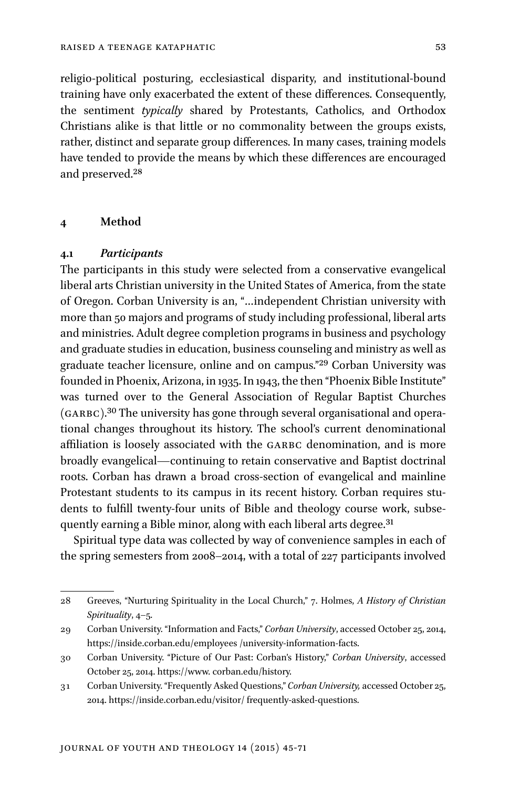religio-political posturing, ecclesiastical disparity, and institutional-bound training have only exacerbated the extent of these differences. Consequently, the sentiment *typically* shared by Protestants, Catholics, and Orthodox Christians alike is that little or no commonality between the groups exists, rather, distinct and separate group differences. In many cases, training models have tended to provide the means by which these differences are encouraged and preserved.28

## **4 Method**

## **4.1** *Participants*

The participants in this study were selected from a conservative evangelical liberal arts Christian university in the United States of America, from the state of Oregon. Corban University is an, "…independent Christian university with more than 50 majors and programs of study including professional, liberal arts and ministries. Adult degree completion programs in business and psychology and graduate studies in education, business counseling and ministry as well as graduate teacher licensure, online and on campus."29 Corban University was founded in Phoenix, Arizona, in 1935. In 1943, the then "Phoenix Bible Institute" was turned over to the General Association of Regular Baptist Churches  $(GARBC)$ .<sup>30</sup> The university has gone through several organisational and operational changes throughout its history. The school's current denominational affiliation is loosely associated with the GARBC denomination, and is more broadly evangelical—continuing to retain conservative and Baptist doctrinal roots. Corban has drawn a broad cross-section of evangelical and mainline Protestant students to its campus in its recent history. Corban requires students to fulfill twenty-four units of Bible and theology course work, subsequently earning a Bible minor, along with each liberal arts degree.<sup>31</sup>

Spiritual type data was collected by way of convenience samples in each of the spring semesters from 2008–2014, with a total of 227 participants involved

<sup>28</sup> Greeves, "Nurturing Spirituality in the Local Church," 7. Holmes, *A History of Christian Spirituality*, 4–5.

<sup>29</sup> Corban University. "Information and Facts," *Corban University*, accessed October 25, 2014, [https://inside.corban.edu/employees /](https://inside.corban.edu/employees)university-information-facts.

<sup>30</sup> Corban University. "Picture of Our Past: Corban's History," *Corban University*, accessed October 25, 2014. [https://www. corban.edu/history.](https://www.corban.edu/history)

<sup>31</sup> Corban University. "Frequently Asked Questions," *Corban University,* accessed October 25, 2014. [https://inside.corban.edu/visitor/ frequently-asked-questions.](https://inside.corban.edu/visitor/frequently-asked-questions)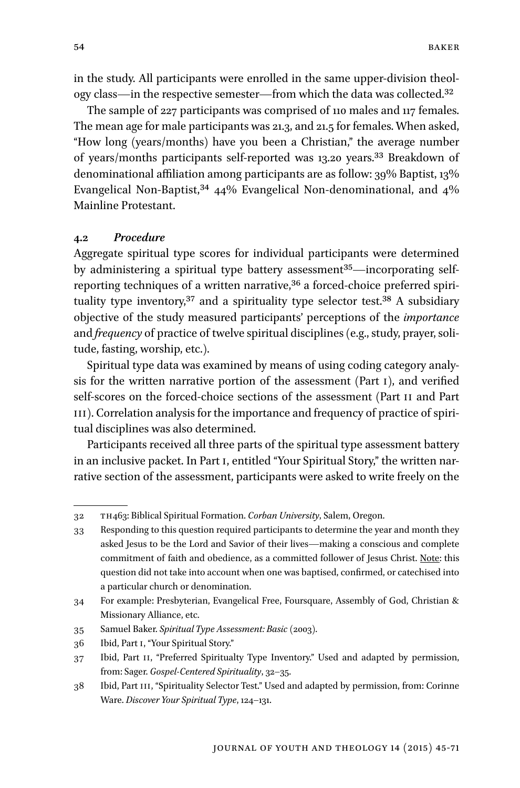in the study. All participants were enrolled in the same upper-division theology class—in the respective semester—from which the data was collected.32

The sample of 227 participants was comprised of 110 males and 117 females. The mean age for male participants was 21.3, and 21.5 for females. When asked, "How long (years/months) have you been a Christian," the average number of years/months participants self-reported was 13.20 years.<sup>33</sup> Breakdown of denominational affiliation among participants are as follow: 39% Baptist, 13% Evangelical Non-Baptist,<sup>34</sup> 44% Evangelical Non-denominational, and 4% Mainline Protestant.

### **4.2** *Procedure*

Aggregate spiritual type scores for individual participants were determined by administering a spiritual type battery assessment<sup>35</sup>—incorporating selfreporting techniques of a written narrative,<sup>36</sup> a forced-choice preferred spirituality type inventory,  $37$  and a spirituality type selector test.  $38$  A subsidiary objective of the study measured participants' perceptions of the *importance* and *frequency* of practice of twelve spiritual disciplines (e.g., study, prayer, solitude, fasting, worship, etc.).

Spiritual type data was examined by means of using coding category analysis for the written narrative portion of the assessment (Part I), and verified self-scores on the forced-choice sections of the assessment (Part II and Part III). Correlation analysis for the importance and frequency of practice of spiritual disciplines was also determined.

Participants received all three parts of the spiritual type assessment battery in an inclusive packet. In Part I, entitled "Your Spiritual Story," the written narrative section of the assessment, participants were asked to write freely on the

<sup>32</sup> th463: Biblical Spiritual Formation. *Corban University*, Salem, Oregon.

<sup>33</sup> Responding to this question required participants to determine the year and month they asked Jesus to be the Lord and Savior of their lives—making a conscious and complete commitment of faith and obedience, as a committed follower of Jesus Christ. Note: this question did not take into account when one was baptised, confirmed, or catechised into a particular church or denomination.

<sup>34</sup> For example: Presbyterian, Evangelical Free, Foursquare, Assembly of God, Christian & Missionary Alliance, etc.

<sup>35</sup> Samuel Baker. *Spiritual Type Assessment: Basic* (2003).

<sup>36</sup> Ibid, Part I, "Your Spiritual Story."

<sup>37</sup> Ibid, Part II, "Preferred Spiritualty Type Inventory." Used and adapted by permission, from: Sager. *Gospel-Centered Spirituality*, 32–35.

<sup>38</sup> Ibid, Part III, "Spirituality Selector Test." Used and adapted by permission, from: Corinne Ware. *Discover Your Spiritual Type*, 124–131.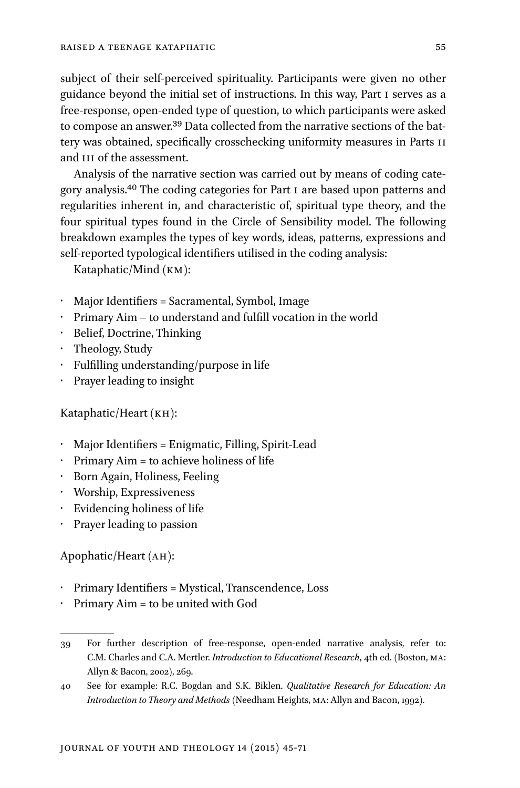subject of their self-perceived spirituality. Participants were given no other guidance beyond the initial set of instructions. In this way, Part I serves as a free-response, open-ended type of question, to which participants were asked to compose an answer.39 Data collected from the narrative sections of the battery was obtained, specifically crosschecking uniformity measures in Parts II and III of the assessment.

Analysis of the narrative section was carried out by means of coding category analysis.40 The coding categories for Part I are based upon patterns and regularities inherent in, and characteristic of, spiritual type theory, and the four spiritual types found in the Circle of Sensibility model. The following breakdown examples the types of key words, ideas, patterns, expressions and self-reported typological identifiers utilised in the coding analysis:

Kataphatic/Mind (km):

- $\cdot$  Major Identifiers = Sacramental, Symbol, Image
- • Primary Aim to understand and fulfill vocation in the world
- • Belief, Doctrine, Thinking
- Theology, Study
- • Fulfilling understanding/purpose in life
- Prayer leading to insight

Kataphatic/Heart (kh):

- • Major Identifiers = Enigmatic, Filling, Spirit-Lead
- $\cdot$  Primary Aim = to achieve holiness of life
- • Born Again, Holiness, Feeling
- • Worship, Expressiveness
- • Evidencing holiness of life
- Prayer leading to passion

## Apophatic/Heart (ah):

- • Primary Identifiers = Mystical, Transcendence, Loss
- Primary Aim = to be united with God

<sup>39</sup> For further description of free-response, open-ended narrative analysis, refer to: C.M. Charles and C.A. Mertler. *Introduction to Educational Research*, 4th ed. (Boston, ma: Allyn & Bacon, 2002), 269.

<sup>40</sup> See for example: R.C. Bogdan and S.K. Biklen. *Qualitative Research for Education: An Introduction to Theory and Methods* (Needham Heights, ma: Allyn and Bacon, 1992).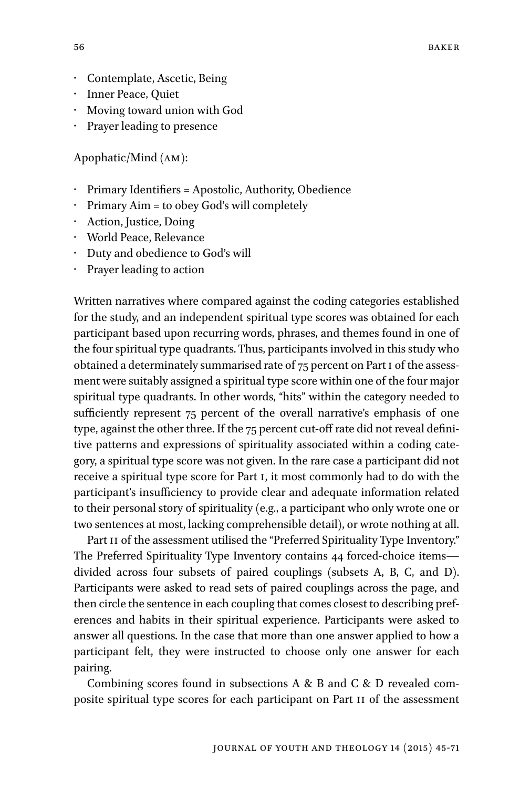- Contemplate, Ascetic, Being
- **Inner Peace, Quiet**
- Moving toward union with God
- Prayer leading to presence

Apophatic/Mind (am):

- Primary Identifiers = Apostolic, Authority, Obedience
- $\cdot$  Primary Aim = to obey God's will completely
- • Action, Justice, Doing
- • World Peace, Relevance
- • Duty and obedience to God's will
- Prayer leading to action

Written narratives where compared against the coding categories established for the study, and an independent spiritual type scores was obtained for each participant based upon recurring words, phrases, and themes found in one of the four spiritual type quadrants. Thus, participants involved in this study who obtained a determinately summarised rate of 75 percent on Part I of the assessment were suitably assigned a spiritual type score within one of the four major spiritual type quadrants. In other words, "hits" within the category needed to sufficiently represent 75 percent of the overall narrative's emphasis of one type, against the other three. If the 75 percent cut-off rate did not reveal definitive patterns and expressions of spirituality associated within a coding category, a spiritual type score was not given. In the rare case a participant did not receive a spiritual type score for Part I, it most commonly had to do with the participant's insufficiency to provide clear and adequate information related to their personal story of spirituality (e.g., a participant who only wrote one or two sentences at most, lacking comprehensible detail), or wrote nothing at all.

Part II of the assessment utilised the "Preferred Spirituality Type Inventory." The Preferred Spirituality Type Inventory contains 44 forced-choice items divided across four subsets of paired couplings (subsets A, B, C, and D). Participants were asked to read sets of paired couplings across the page, and then circle the sentence in each coupling that comes closest to describing preferences and habits in their spiritual experience. Participants were asked to answer all questions. In the case that more than one answer applied to how a participant felt, they were instructed to choose only one answer for each pairing.

Combining scores found in subsections A & B and C & D revealed composite spiritual type scores for each participant on Part II of the assessment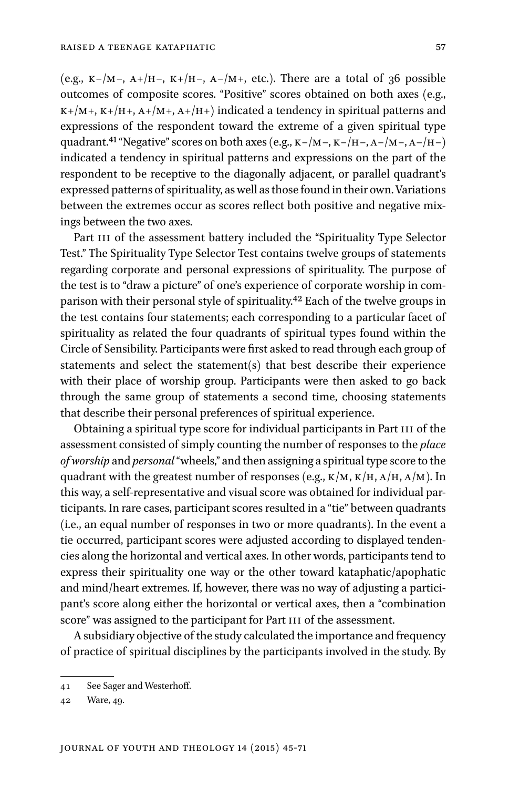(e.g., K-/M-, A+/H-, K+/H-, A-/M+, etc.). There are a total of 36 possible outcomes of composite scores. "Positive" scores obtained on both axes (e.g.,  $K+ / M+$ ,  $K+ / H+$ ,  $A+ / M+$ ,  $A+ / H+$ ) indicated a tendency in spiritual patterns and expressions of the respondent toward the extreme of a given spiritual type quadrant.41 "Negative" scores on both axes (e.g., K−/M−, K−/H−, A−/M−, A−/H−) indicated a tendency in spiritual patterns and expressions on the part of the respondent to be receptive to the diagonally adjacent, or parallel quadrant's expressed patterns of spirituality, as well as those found in their own. Variations between the extremes occur as scores reflect both positive and negative mixings between the two axes.

Part III of the assessment battery included the "Spirituality Type Selector Test." The Spirituality Type Selector Test contains twelve groups of statements regarding corporate and personal expressions of spirituality. The purpose of the test is to "draw a picture" of one's experience of corporate worship in comparison with their personal style of spirituality.42 Each of the twelve groups in the test contains four statements; each corresponding to a particular facet of spirituality as related the four quadrants of spiritual types found within the Circle of Sensibility. Participants were first asked to read through each group of statements and select the statement(s) that best describe their experience with their place of worship group. Participants were then asked to go back through the same group of statements a second time, choosing statements that describe their personal preferences of spiritual experience.

Obtaining a spiritual type score for individual participants in Part III of the assessment consisted of simply counting the number of responses to the *place of worship* and *personal* "wheels," and then assigning a spiritual type score to the quadrant with the greatest number of responses (e.g.,  $K/M$ ,  $K/H$ ,  $A/H$ ,  $A/M$ ). In this way, a self-representative and visual score was obtained for individual participants. In rare cases, participant scores resulted in a "tie" between quadrants (i.e., an equal number of responses in two or more quadrants). In the event a tie occurred, participant scores were adjusted according to displayed tendencies along the horizontal and vertical axes. In other words, participants tend to express their spirituality one way or the other toward kataphatic/apophatic and mind/heart extremes. If, however, there was no way of adjusting a participant's score along either the horizontal or vertical axes, then a "combination score" was assigned to the participant for Part III of the assessment.

A subsidiary objective of the study calculated the importance and frequency of practice of spiritual disciplines by the participants involved in the study. By

<sup>41</sup> See Sager and Westerhoff.

<sup>42</sup> Ware, 49.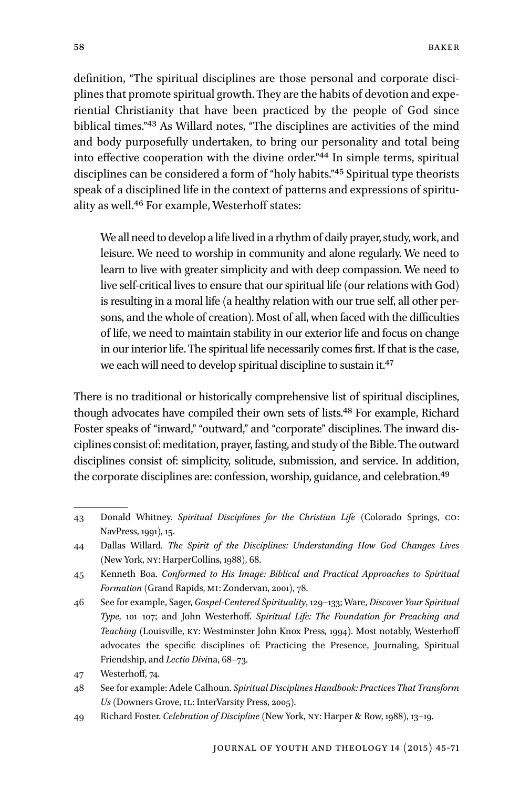definition, "The spiritual disciplines are those personal and corporate disciplines that promote spiritual growth. They are the habits of devotion and experiential Christianity that have been practiced by the people of God since biblical times."43 As Willard notes, "The disciplines are activities of the mind and body purposefully undertaken, to bring our personality and total being into effective cooperation with the divine order."44 In simple terms, spiritual disciplines can be considered a form of "holy habits."45 Spiritual type theorists speak of a disciplined life in the context of patterns and expressions of spirituality as well.46 For example, Westerhoff states:

We all need to develop a life lived in a rhythm of daily prayer, study, work, and leisure. We need to worship in community and alone regularly. We need to learn to live with greater simplicity and with deep compassion. We need to live self-critical lives to ensure that our spiritual life (our relations with God) is resulting in a moral life (a healthy relation with our true self, all other persons, and the whole of creation). Most of all, when faced with the difficulties of life, we need to maintain stability in our exterior life and focus on change in our interior life. The spiritual life necessarily comes first. If that is the case, we each will need to develop spiritual discipline to sustain it.47

There is no traditional or historically comprehensive list of spiritual disciplines, though advocates have compiled their own sets of lists.48 For example, Richard Foster speaks of "inward," "outward," and "corporate" disciplines. The inward disciplines consist of: meditation, prayer, fasting, and study of the Bible. The outward disciplines consist of: simplicity, solitude, submission, and service. In addition, the corporate disciplines are: confession, worship, guidance, and celebration.<sup>49</sup>

<sup>43</sup> Donald Whitney. *Spiritual Disciplines for the Christian Life* (Colorado Springs, co: NavPress, 1991), 15.

<sup>44</sup> Dallas Willard. *The Spirit of the Disciplines: Understanding How God Changes Lives* (New York, ny: HarperCollins, 1988), 68.

<sup>45</sup> Kenneth Boa. *Conformed to His Image: Biblical and Practical Approaches to Spiritual Formation* (Grand Rapids, mi: Zondervan, 2001), 78.

<sup>46</sup> See for example, Sager, *Gospel-Centered Spirituality*, 129–133; Ware, *Discover Your Spiritual Type,* 101–107; and John Westerhoff. *Spiritual Life: The Foundation for Preaching and Teaching* (Louisville, ky: Westminster John Knox Press, 1994). Most notably, Westerhoff advocates the specific disciplines of: Practicing the Presence, Journaling, Spiritual Friendship, and *Lectio Divi*na, 68–73.

<sup>47</sup> Westerhoff, 74.

<sup>48</sup> See for example: Adele Calhoun. *Spiritual Disciplines Handbook: Practices That Transform*  Us (Downers Grove, IL: InterVarsity Press, 2005).

<sup>49</sup> Richard Foster. *Celebration of Discipline* (New York, ny: Harper & Row, 1988), 13–19.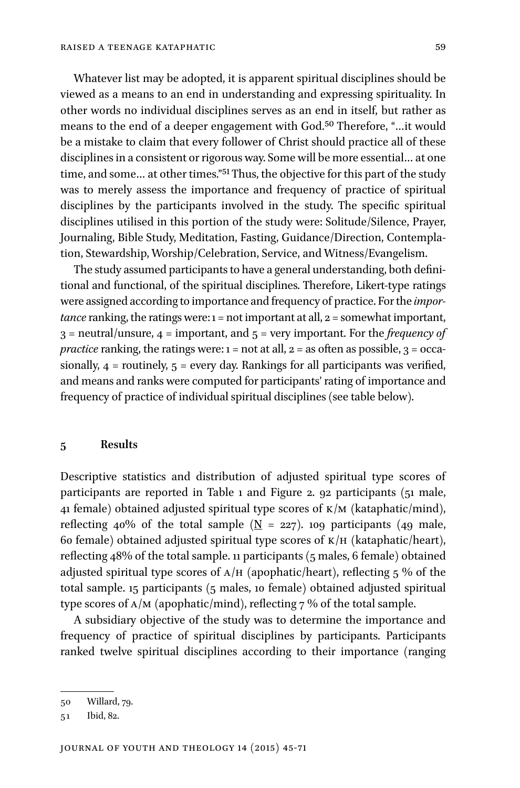Whatever list may be adopted, it is apparent spiritual disciplines should be viewed as a means to an end in understanding and expressing spirituality. In other words no individual disciplines serves as an end in itself, but rather as means to the end of a deeper engagement with God.<sup>50</sup> Therefore, "...it would be a mistake to claim that every follower of Christ should practice all of these disciplines in a consistent or rigorous way. Some will be more essential… at one time, and some... at other times."<sup>51</sup> Thus, the objective for this part of the study was to merely assess the importance and frequency of practice of spiritual disciplines by the participants involved in the study. The specific spiritual disciplines utilised in this portion of the study were: Solitude/Silence, Prayer, Journaling, Bible Study, Meditation, Fasting, Guidance/Direction, Contemplation, Stewardship, Worship/Celebration, Service, and Witness/Evangelism.

The study assumed participants to have a general understanding, both definitional and functional, of the spiritual disciplines. Therefore, Likert-type ratings were assigned according to importance and frequency of practice. For the *importance* ranking, the ratings were:  $i = not$  important at all,  $i = 2$  somewhat important, 3 = neutral/unsure, 4 = important, and 5 = very important. For the *frequency of practice* ranking, the ratings were:  $1 = not$  at all,  $2 = as$  often as possible,  $3 = occ$ sionally,  $4 =$  routinely,  $5 =$  every day. Rankings for all participants was verified, and means and ranks were computed for participants' rating of importance and frequency of practice of individual spiritual disciplines (see table below).

#### **5 Results**

Descriptive statistics and distribution of adjusted spiritual type scores of participants are reported in Table 1 and Figure 2. 92 participants (51 male, 41 female) obtained adjusted spiritual type scores of  $K/M$  (kataphatic/mind), reflecting 40% of the total sample ( $\underline{N}$  = 227). 109 participants (49 male, 60 female) obtained adjusted spiritual type scores of  $K/H$  (kataphatic/heart), reflecting 48% of the total sample. 11 participants (5 males, 6 female) obtained adjusted spiritual type scores of  $A/H$  (apophatic/heart), reflecting 5 % of the total sample. 15 participants (5 males, 10 female) obtained adjusted spiritual type scores of  $A/M$  (apophatic/mind), reflecting  $7%$  of the total sample.

A subsidiary objective of the study was to determine the importance and frequency of practice of spiritual disciplines by participants. Participants ranked twelve spiritual disciplines according to their importance (ranging

<sup>50</sup> Willard, 79.

<sup>51</sup> Ibid, 82.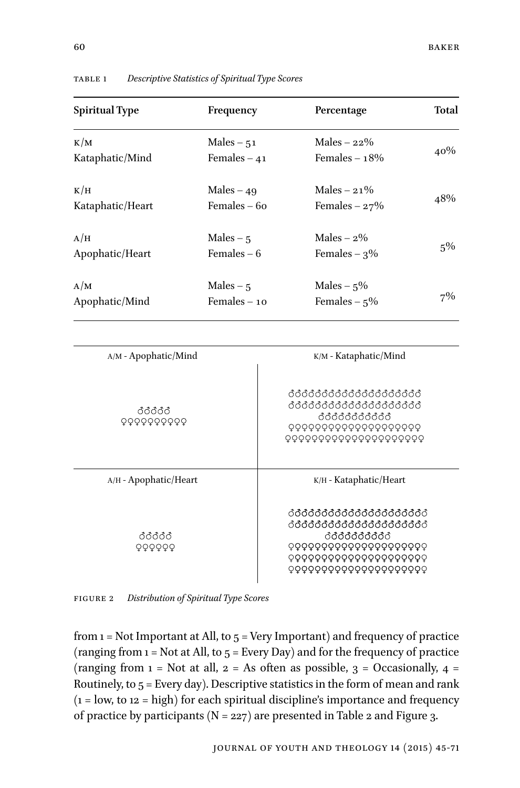| TABLE 1 | Descriptive Statistics of Spiritual Type Scores |
|---------|-------------------------------------------------|
| .       |                                                 |

| <b>Spiritual Type</b> | Frequency       | Percentage      | Total  |
|-----------------------|-----------------|-----------------|--------|
| K/M                   | Males $-51$     | Males $-22\%$   | $40\%$ |
| Kataphatic/Mind       | Females $-41$   | Females $-18%$  |        |
| K/H                   | Males $-49$     | Males $-21\%$   | 48%    |
| Kataphatic/Heart      | $F$ emales – 60 | Females $-27%$  |        |
| A/H                   | Males $-5$      | Males $-2\%$    | $5\%$  |
| Apophatic/Heart       | Females $-6$    | Females – $3\%$ |        |
| A/M                   | Males $-5$      | Males $-5\%$    | $7\%$  |
| Apophatic/Mind        | $F$ emales – 10 | Females $-5\%$  |        |

| $A/M - Apophatic/Mind$                                                                                                                        | K/M - Kataphatic/Mind                                                                                                                    |  |
|-----------------------------------------------------------------------------------------------------------------------------------------------|------------------------------------------------------------------------------------------------------------------------------------------|--|
| ನೆನೆನೆನೆ<br>$\begin{array}{c} \texttt{Q} \texttt{Q} \texttt{Q} \texttt{Q} \texttt{Q} \texttt{Q} \texttt{Q} \texttt{Q} \texttt{Q} \end{array}$ | 00000000000000000000<br>ようろうろうろうろうろろろろろろろろろる<br>♂♂♂♂♂♂♂♂<br>99999999999999999999<br><b>₽₽₽₽₽₽₽₽₽₽₽₽₽₽₽₽₽₽₽₽₽</b>                         |  |
| $A/H - Apophatic/Heart$                                                                                                                       | K/H - Kataphatic/Heart                                                                                                                   |  |
| ඊඊඊඊඊ<br>QQQQQ                                                                                                                                | 1111111111111111111111111<br>v33333333333333333333<br>444444444<br>999999999999999999999<br>♀9999999999999999999<br>♀9999999999999999999 |  |

Figure 2 *Distribution of Spiritual Type Scores*

from  $1 = Not$  Important at All, to  $5 = Very$  Important) and frequency of practice (ranging from  $1 = Not$  at All, to  $5 = Every$  Day) and for the frequency of practice (ranging from  $i = Not$  at all,  $i = As$  often as possible,  $i = 3$  = Occasionally,  $i = 4$ Routinely, to  $5$  = Every day). Descriptive statistics in the form of mean and rank  $(1 = low, to 12 = high)$  for each spiritual discipline's importance and frequency of practice by participants ( $N = 227$ ) are presented in Table 2 and Figure 3.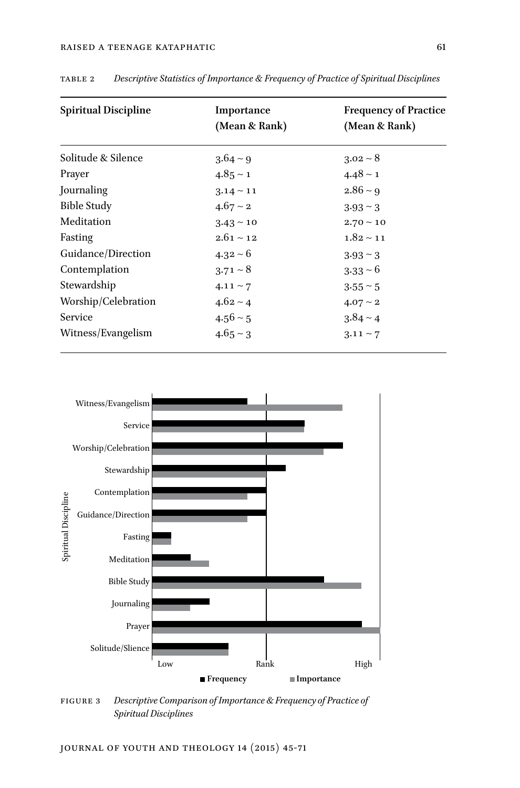#### RAISED A TEENAGE KATAPHATIC 61

| <b>Spiritual Discipline</b> | Importance     | <b>Frequency of Practice</b> |  |
|-----------------------------|----------------|------------------------------|--|
|                             | (Mean & Rank)  | (Mean & Rank)                |  |
| Solitude & Silence          | $3.64 - 9$     | $3.02 - 8$                   |  |
| Prayer                      | $4.85 \sim 1$  | $4.48 \sim 1$                |  |
| Journaling                  | $3.14 \sim 11$ | $2.86 - 9$                   |  |
| <b>Bible Study</b>          | $4.67 \sim 2$  | $3.93 \sim 3$                |  |
| Meditation                  | $3.43 \sim 10$ | $2.70 \sim 10$               |  |
| Fasting                     | $2.61 \sim 12$ | $1.82 - 11$                  |  |
| Guidance/Direction          | $4.32 - 6$     | $3.93 \sim 3$                |  |
| Contemplation               | $3.71 - 8$     | $3.33 - 6$                   |  |
| Stewardship                 | $4.11 \sim 7$  | $3.55 \approx 5$             |  |
| Worship/Celebration         | $4.62 \sim 4$  | $4.07 \sim 2$                |  |
| Service                     | $4.56 - 5$     | $3.84 \sim 4$                |  |
| Witness/Evangelism          | $4.65 \sim 3$  | $3.11 \sim 7$                |  |

Table 2 *Descriptive Statistics of Importance & Frequency of Practice of Spiritual Disciplines*



Figure 3 *Descriptive Comparison of Importance & Frequency of Practice of Spiritual Disciplines*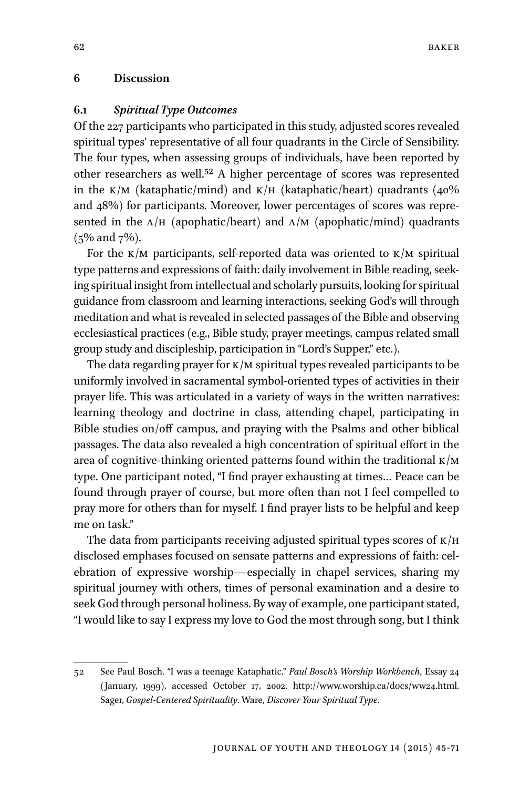#### **6 Discussion**

#### **6.1** *Spiritual Type Outcomes*

Of the 227 participants who participated in this study, adjusted scores revealed spiritual types' representative of all four quadrants in the Circle of Sensibility. The four types, when assessing groups of individuals, have been reported by other researchers as well.52 A higher percentage of scores was represented in the  $K/M$  (kataphatic/mind) and  $K/H$  (kataphatic/heart) quadrants (40% and 48%) for participants. Moreover, lower percentages of scores was represented in the  $A/H$  (apophatic/heart) and  $A/M$  (apophatic/mind) quadrants (5% and 7%).

For the  $K/M$  participants, self-reported data was oriented to  $K/M$  spiritual type patterns and expressions of faith: daily involvement in Bible reading, seeking spiritual insight from intellectual and scholarly pursuits, looking for spiritual guidance from classroom and learning interactions, seeking God's will through meditation and what is revealed in selected passages of the Bible and observing ecclesiastical practices (e.g., Bible study, prayer meetings, campus related small group study and discipleship, participation in "Lord's Supper," etc.).

The data regarding prayer for  $K/M$  spiritual types revealed participants to be uniformly involved in sacramental symbol-oriented types of activities in their prayer life. This was articulated in a variety of ways in the written narratives: learning theology and doctrine in class, attending chapel, participating in Bible studies on/off campus, and praying with the Psalms and other biblical passages. The data also revealed a high concentration of spiritual effort in the area of cognitive-thinking oriented patterns found within the traditional  $K/M$ type. One participant noted, "I find prayer exhausting at times… Peace can be found through prayer of course, but more often than not I feel compelled to pray more for others than for myself. I find prayer lists to be helpful and keep me on task."

The data from participants receiving adjusted spiritual types scores of  $K/H$ disclosed emphases focused on sensate patterns and expressions of faith: celebration of expressive worship—especially in chapel services, sharing my spiritual journey with others, times of personal examination and a desire to seek God through personal holiness. By way of example, one participant stated, "I would like to say I express my love to God the most through song, but I think

<sup>52</sup> See Paul Bosch. "I was a teenage Kataphatic." *Paul Bosch's Worship Workbench*, Essay 24 (January, 1999), accessed October 17, 2002. [http://www.worship.ca/docs/ww24.html.](http://www.worship.ca/docs/ww24.html) Sager, *Gospel-Centered Spirituality*. Ware, *Discover Your Spiritual Type*.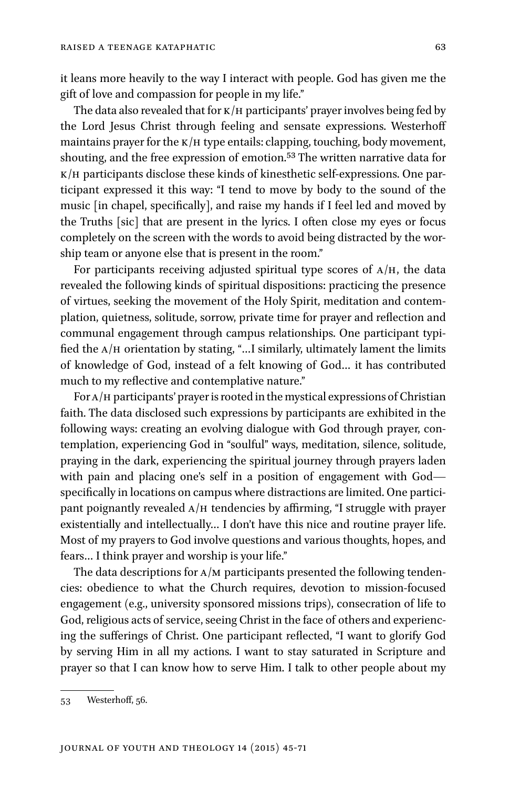it leans more heavily to the way I interact with people. God has given me the gift of love and compassion for people in my life."

The data also revealed that for  $K/H$  participants' prayer involves being fed by the Lord Jesus Christ through feeling and sensate expressions. Westerhoff maintains prayer for the  $K/H$  type entails: clapping, touching, body movement, shouting, and the free expression of emotion.53 The written narrative data for  $K/H$  participants disclose these kinds of kinesthetic self-expressions. One participant expressed it this way: "I tend to move by body to the sound of the music [in chapel, specifically], and raise my hands if I feel led and moved by the Truths [sic] that are present in the lyrics. I often close my eyes or focus completely on the screen with the words to avoid being distracted by the worship team or anyone else that is present in the room."

For participants receiving adjusted spiritual type scores of  $A/H$ , the data revealed the following kinds of spiritual dispositions: practicing the presence of virtues, seeking the movement of the Holy Spirit, meditation and contemplation, quietness, solitude, sorrow, private time for prayer and reflection and communal engagement through campus relationships. One participant typified the  $A/H$  orientation by stating, "...I similarly, ultimately lament the limits of knowledge of God, instead of a felt knowing of God… it has contributed much to my reflective and contemplative nature."

For A/H participants' prayer is rooted in the mystical expressions of Christian faith. The data disclosed such expressions by participants are exhibited in the following ways: creating an evolving dialogue with God through prayer, contemplation, experiencing God in "soulful" ways, meditation, silence, solitude, praying in the dark, experiencing the spiritual journey through prayers laden with pain and placing one's self in a position of engagement with God specifically in locations on campus where distractions are limited. One participant poignantly revealed  $A/H$  tendencies by affirming, "I struggle with prayer existentially and intellectually… I don't have this nice and routine prayer life. Most of my prayers to God involve questions and various thoughts, hopes, and fears… I think prayer and worship is your life."

The data descriptions for  $A/M$  participants presented the following tendencies: obedience to what the Church requires, devotion to mission-focused engagement (e.g., university sponsored missions trips), consecration of life to God, religious acts of service, seeing Christ in the face of others and experiencing the sufferings of Christ. One participant reflected, "I want to glorify God by serving Him in all my actions. I want to stay saturated in Scripture and prayer so that I can know how to serve Him. I talk to other people about my

<sup>53</sup> Westerhoff, 56.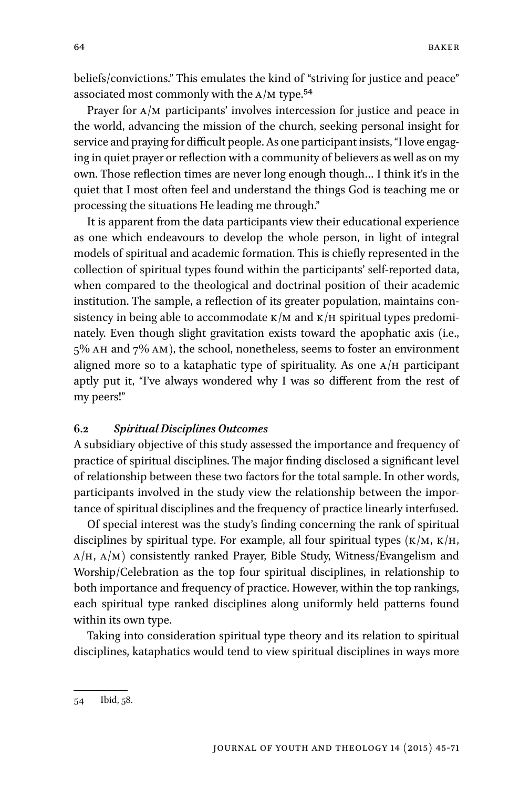beliefs/convictions." This emulates the kind of "striving for justice and peace" associated most commonly with the A/M type.54

Prayer for  $A/M$  participants' involves intercession for justice and peace in the world, advancing the mission of the church, seeking personal insight for service and praying for difficult people. As one participant insists, "I love engaging in quiet prayer or reflection with a community of believers as well as on my own. Those reflection times are never long enough though… I think it's in the quiet that I most often feel and understand the things God is teaching me or processing the situations He leading me through."

It is apparent from the data participants view their educational experience as one which endeavours to develop the whole person, in light of integral models of spiritual and academic formation. This is chiefly represented in the collection of spiritual types found within the participants' self-reported data, when compared to the theological and doctrinal position of their academic institution. The sample, a reflection of its greater population, maintains consistency in being able to accommodate  $K/M$  and  $K/H$  spiritual types predominately. Even though slight gravitation exists toward the apophatic axis (i.e., 5% ah and 7% am), the school, nonetheless, seems to foster an environment aligned more so to a kataphatic type of spirituality. As one  $A/H$  participant aptly put it, "I've always wondered why I was so different from the rest of my peers!"

#### **6.2** *Spiritual Disciplines Outcomes*

A subsidiary objective of this study assessed the importance and frequency of practice of spiritual disciplines. The major finding disclosed a significant level of relationship between these two factors for the total sample. In other words, participants involved in the study view the relationship between the importance of spiritual disciplines and the frequency of practice linearly interfused.

Of special interest was the study's finding concerning the rank of spiritual disciplines by spiritual type. For example, all four spiritual types  $(K/M, K/H,$  $A/H$ ,  $A/M$ ) consistently ranked Prayer, Bible Study, Witness/Evangelism and Worship/Celebration as the top four spiritual disciplines, in relationship to both importance and frequency of practice. However, within the top rankings, each spiritual type ranked disciplines along uniformly held patterns found within its own type.

Taking into consideration spiritual type theory and its relation to spiritual disciplines, kataphatics would tend to view spiritual disciplines in ways more

<sup>54</sup> Ibid, 58.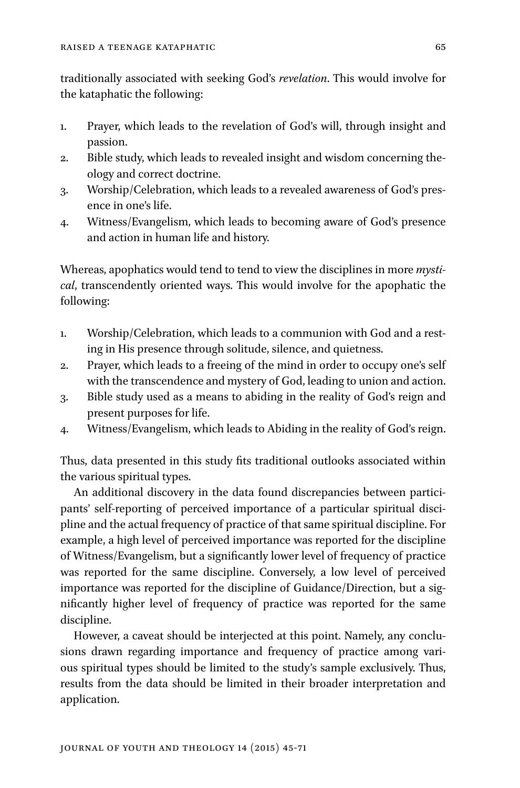traditionally associated with seeking God's *revelation*. This would involve for the kataphatic the following:

- 1. Prayer, which leads to the revelation of God's will, through insight and passion.
- 2. Bible study, which leads to revealed insight and wisdom concerning theology and correct doctrine.
- 3. Worship/Celebration, which leads to a revealed awareness of God's presence in one's life.
- 4. Witness/Evangelism, which leads to becoming aware of God's presence and action in human life and history.

Whereas, apophatics would tend to tend to view the disciplines in more *mystical*, transcendently oriented ways. This would involve for the apophatic the following:

- 1. Worship/Celebration, which leads to a communion with God and a resting in His presence through solitude, silence, and quietness.
- 2. Prayer, which leads to a freeing of the mind in order to occupy one's self with the transcendence and mystery of God, leading to union and action.
- 3. Bible study used as a means to abiding in the reality of God's reign and present purposes for life.
- 4. Witness/Evangelism, which leads to Abiding in the reality of God's reign.

Thus, data presented in this study fits traditional outlooks associated within the various spiritual types.

An additional discovery in the data found discrepancies between participants' self-reporting of perceived importance of a particular spiritual discipline and the actual frequency of practice of that same spiritual discipline. For example, a high level of perceived importance was reported for the discipline of Witness/Evangelism, but a significantly lower level of frequency of practice was reported for the same discipline. Conversely, a low level of perceived importance was reported for the discipline of Guidance/Direction, but a significantly higher level of frequency of practice was reported for the same discipline.

However, a caveat should be interjected at this point. Namely, any conclusions drawn regarding importance and frequency of practice among various spiritual types should be limited to the study's sample exclusively. Thus, results from the data should be limited in their broader interpretation and application.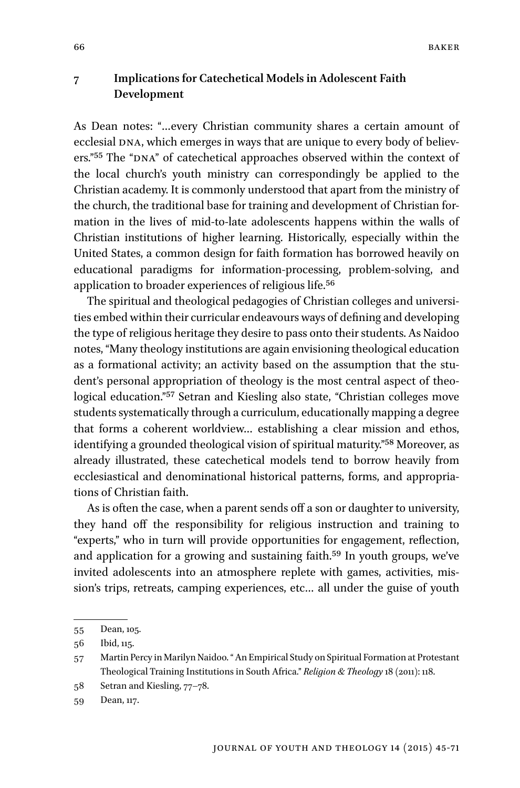# **7 Implications for Catechetical Models in Adolescent Faith Development**

As Dean notes: "…every Christian community shares a certain amount of ecclesial DNA, which emerges in ways that are unique to every body of believers."<sup>55</sup> The "DNA" of catechetical approaches observed within the context of the local church's youth ministry can correspondingly be applied to the Christian academy. It is commonly understood that apart from the ministry of the church, the traditional base for training and development of Christian formation in the lives of mid-to-late adolescents happens within the walls of Christian institutions of higher learning. Historically, especially within the United States, a common design for faith formation has borrowed heavily on educational paradigms for information-processing, problem-solving, and application to broader experiences of religious life.56

The spiritual and theological pedagogies of Christian colleges and universities embed within their curricular endeavours ways of defining and developing the type of religious heritage they desire to pass onto their students. As Naidoo notes, "Many theology institutions are again envisioning theological education as a formational activity; an activity based on the assumption that the student's personal appropriation of theology is the most central aspect of theological education."57 Setran and Kiesling also state, "Christian colleges move students systematically through a curriculum, educationally mapping a degree that forms a coherent worldview… establishing a clear mission and ethos, identifying a grounded theological vision of spiritual maturity."58 Moreover, as already illustrated, these catechetical models tend to borrow heavily from ecclesiastical and denominational historical patterns, forms, and appropriations of Christian faith.

As is often the case, when a parent sends off a son or daughter to university, they hand off the responsibility for religious instruction and training to "experts," who in turn will provide opportunities for engagement, reflection, and application for a growing and sustaining faith.<sup>59</sup> In youth groups, we've invited adolescents into an atmosphere replete with games, activities, mission's trips, retreats, camping experiences, etc… all under the guise of youth

<sup>55</sup> Dean, 105.

<sup>56</sup> Ibid, 115.

<sup>57</sup> Martin Percy in Marilyn Naidoo. " An Empirical Study on Spiritual Formation at Protestant Theological Training Institutions in South Africa." *Religion & Theology* 18 (2011): 118.

<sup>58</sup> Setran and Kiesling, 77–78.

<sup>59</sup> Dean, 117.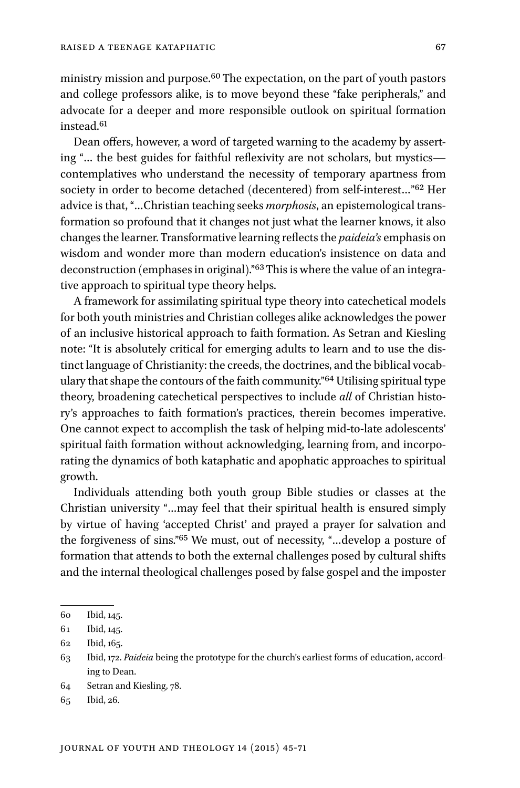ministry mission and purpose.<sup>60</sup> The expectation, on the part of youth pastors and college professors alike, is to move beyond these "fake peripherals," and advocate for a deeper and more responsible outlook on spiritual formation instead.61

Dean offers, however, a word of targeted warning to the academy by asserting "… the best guides for faithful reflexivity are not scholars, but mystics contemplatives who understand the necessity of temporary apartness from society in order to become detached (decentered) from self-interest…"62 Her advice is that, "…Christian teaching seeks *morphosis*, an epistemological transformation so profound that it changes not just what the learner knows, it also changes the learner. Transformative learning reflects the *paideia's* emphasis on wisdom and wonder more than modern education's insistence on data and deconstruction (emphases in original)."63 This is where the value of an integrative approach to spiritual type theory helps.

A framework for assimilating spiritual type theory into catechetical models for both youth ministries and Christian colleges alike acknowledges the power of an inclusive historical approach to faith formation. As Setran and Kiesling note: "It is absolutely critical for emerging adults to learn and to use the distinct language of Christianity: the creeds, the doctrines, and the biblical vocabulary that shape the contours of the faith community."<sup>64</sup> Utilising spiritual type theory, broadening catechetical perspectives to include *all* of Christian history's approaches to faith formation's practices, therein becomes imperative. One cannot expect to accomplish the task of helping mid-to-late adolescents' spiritual faith formation without acknowledging, learning from, and incorporating the dynamics of both kataphatic and apophatic approaches to spiritual growth.

Individuals attending both youth group Bible studies or classes at the Christian university "…may feel that their spiritual health is ensured simply by virtue of having 'accepted Christ' and prayed a prayer for salvation and the forgiveness of sins."65 We must, out of necessity, "…develop a posture of formation that attends to both the external challenges posed by cultural shifts and the internal theological challenges posed by false gospel and the imposter

65 Ibid, 26.

<sup>60</sup> Ibid, 145.

<sup>61</sup> Ibid, 145.

<sup>62</sup> Ibid, 165.

<sup>63</sup> Ibid, 172. *Paideia* being the prototype for the church's earliest forms of education, according to Dean.

<sup>64</sup> Setran and Kiesling, 78.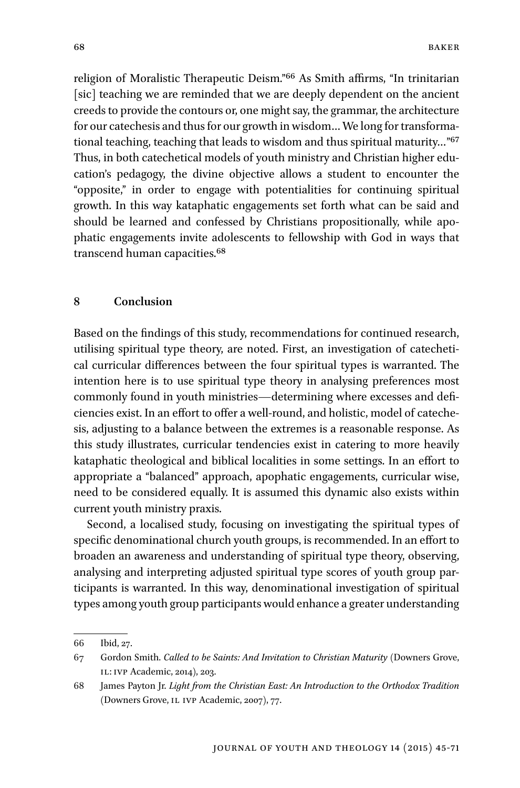religion of Moralistic Therapeutic Deism."66 As Smith affirms, "In trinitarian [sic] teaching we are reminded that we are deeply dependent on the ancient creeds to provide the contours or, one might say, the grammar, the architecture for our catechesis and thus for our growth in wisdom… We long for transformational teaching, teaching that leads to wisdom and thus spiritual maturity…"67 Thus, in both catechetical models of youth ministry and Christian higher education's pedagogy, the divine objective allows a student to encounter the "opposite," in order to engage with potentialities for continuing spiritual growth. In this way kataphatic engagements set forth what can be said and should be learned and confessed by Christians propositionally, while apophatic engagements invite adolescents to fellowship with God in ways that transcend human capacities.<sup>68</sup>

## **8 Conclusion**

Based on the findings of this study, recommendations for continued research, utilising spiritual type theory, are noted. First, an investigation of catechetical curricular differences between the four spiritual types is warranted. The intention here is to use spiritual type theory in analysing preferences most commonly found in youth ministries—determining where excesses and deficiencies exist. In an effort to offer a well-round, and holistic, model of catechesis, adjusting to a balance between the extremes is a reasonable response. As this study illustrates, curricular tendencies exist in catering to more heavily kataphatic theological and biblical localities in some settings. In an effort to appropriate a "balanced" approach, apophatic engagements, curricular wise, need to be considered equally. It is assumed this dynamic also exists within current youth ministry praxis.

Second, a localised study, focusing on investigating the spiritual types of specific denominational church youth groups, is recommended. In an effort to broaden an awareness and understanding of spiritual type theory, observing, analysing and interpreting adjusted spiritual type scores of youth group participants is warranted. In this way, denominational investigation of spiritual types among youth group participants would enhance a greater understanding

<sup>66</sup> Ibid, 27.

<sup>67</sup> Gordon Smith. *Called to be Saints: And Invitation to Christian Maturity* (Downers Grove, il: ivp Academic, 2014), 203.

<sup>68</sup> James Payton Jr. *Light from the Christian East: An Introduction to the Orthodox Tradition* (Downers Grove, il ivp Academic, 2007), 77.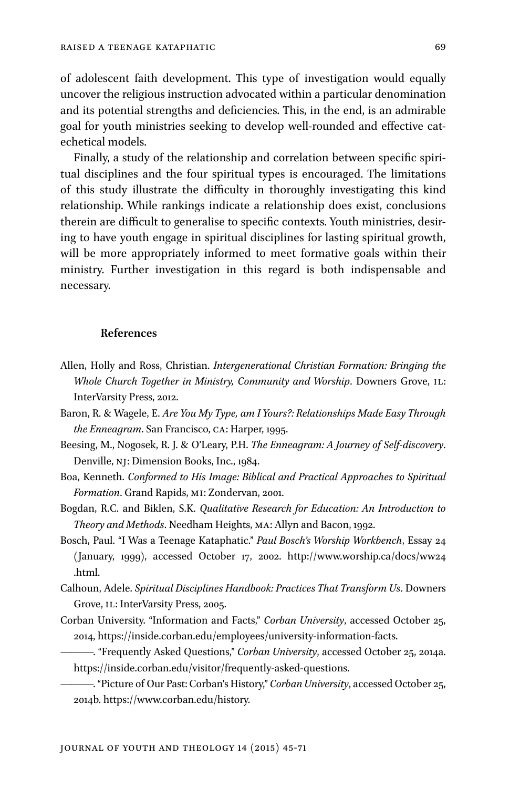of adolescent faith development. This type of investigation would equally uncover the religious instruction advocated within a particular denomination and its potential strengths and deficiencies. This, in the end, is an admirable goal for youth ministries seeking to develop well-rounded and effective catechetical models.

Finally, a study of the relationship and correlation between specific spiritual disciplines and the four spiritual types is encouraged. The limitations of this study illustrate the difficulty in thoroughly investigating this kind relationship. While rankings indicate a relationship does exist, conclusions therein are difficult to generalise to specific contexts. Youth ministries, desiring to have youth engage in spiritual disciplines for lasting spiritual growth, will be more appropriately informed to meet formative goals within their ministry. Further investigation in this regard is both indispensable and necessary.

#### **References**

- Allen, Holly and Ross, Christian. *Intergenerational Christian Formation: Bringing the Whole Church Together in Ministry, Community and Worship*. Downers Grove, IL: InterVarsity Press, 2012.
- Baron, R. & Wagele, E. *Are You My Type, am I Yours?: Relationships Made Easy Through the Enneagram*. San Francisco, CA: Harper, 1995.
- Beesing, M., Nogosek, R. J. & O'Leary, P.H. *The Enneagram: A Journey of Self-discovery*. Denville, NJ: Dimension Books, Inc., 1984.
- Boa, Kenneth. *Conformed to His Image: Biblical and Practical Approaches to Spiritual Formation*. Grand Rapids, MI: Zondervan, 2001.
- Bogdan, R.C. and Biklen, S.K. *Qualitative Research for Education: An Introduction to Theory and Methods*. Needham Heights, MA: Allyn and Bacon, 1992.
- Bosch, Paul. "I Was a Teenage Kataphatic." *Paul Bosch's Worship Workbench*, Essay 24 (January, 1999), accessed October 17, 2002. [http://www.worship.ca/docs/ww24](http://www.worship.ca/docs/ww24.html) [.html.](http://www.worship.ca/docs/ww24.html)
- Calhoun, Adele. *Spiritual Disciplines Handbook: Practices That Transform Us*. Downers Grove, IL: InterVarsity Press, 2005.
- Corban University. "Information and Facts," *Corban University*, accessed October 25, 2014, [https://inside.corban.edu/employees/university-information-facts.](https://inside.corban.edu/employees/university-information-facts)

———. "Frequently Asked Questions," *Corban University*, accessed October 25, 2014a. [https://inside.corban.edu/visitor/frequently-asked-questions.](https://inside.corban.edu/visitor/frequently-asked-questions)

———. "Picture of Our Past: Corban's History," *Corban University*, accessed October 25, 2014b.<https://www.corban.edu/history>.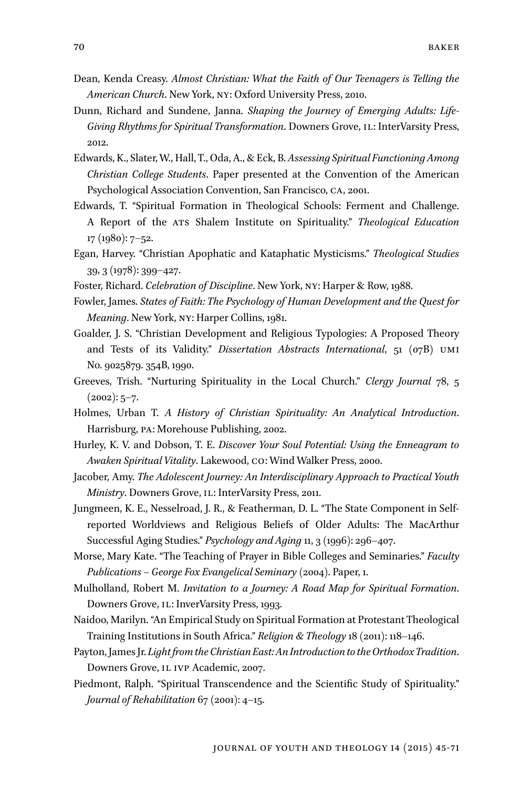- Dean, Kenda Creasy. *Almost Christian: What the Faith of Our Teenagers is Telling the American Church*. New York, NY: Oxford University Press, 2010.
- Dunn, Richard and Sundene, Janna. *Shaping the Journey of Emerging Adults: Life-Giving Rhythms for Spiritual Transformation*. Downers Grove, IL: InterVarsity Press, 2012.
- Edwards, K., Slater, W., Hall, T., Oda, A., & Eck, B. *Assessing Spiritual Functioning Among Christian College Students*. Paper presented at the Convention of the American Psychological Association Convention, San Francisco, CA, 2001.
- Edwards, T. "Spiritual Formation in Theological Schools: Ferment and Challenge. A Report of the ATS Shalem Institute on Spirituality." *Theological Education* 17 (1980): 7–52.
- Egan, Harvey. "Christian Apophatic and Kataphatic Mysticisms." *Theological Studies* 39, 3 (1978): 399–427.
- Foster, Richard. *Celebration of Discipline*. New York, NY: Harper & Row, 1988.
- Fowler, James. *States of Faith: The Psychology of Human Development and the Quest for Meaning*. New York, NY: Harper Collins, 1981.
- Goalder, J. S. "Christian Development and Religious Typologies: A Proposed Theory and Tests of its Validity." *Dissertation Abstracts International*, 51 (07B) UMI No. 9025879. 354B, 1990.
- Greeves, Trish. "Nurturing Spirituality in the Local Church." *Clergy Journal* 78, 5  $(2002): 5-7.$
- Holmes, Urban T. *A History of Christian Spirituality: An Analytical Introduction*. Harrisburg, PA: Morehouse Publishing, 2002.
- Hurley, K. V. and Dobson, T. E. *Discover Your Soul Potential: Using the Enneagram to Awaken Spiritual Vitality*. Lakewood, CO: Wind Walker Press, 2000.
- Jacober, Amy. *The Adolescent Journey: An Interdisciplinary Approach to Practical Youth Ministry*. Downers Grove, IL: InterVarsity Press, 2011.
- Jungmeen, K. E., Nesselroad, J. R., & Featherman, D. L. "The State Component in Selfreported Worldviews and Religious Beliefs of Older Adults: The MacArthur Successful Aging Studies." *Psychology and Aging* 11, 3 (1996): 296–407.
- Morse, Mary Kate. "The Teaching of Prayer in Bible Colleges and Seminaries." *Faculty Publications – George Fox Evangelical Seminary* (2004). Paper, 1.
- Mulholland, Robert M. *Invitation to a Journey: A Road Map for Spiritual Formation*. Downers Grove, IL: InverVarsity Press, 1993.
- Naidoo, Marilyn. "An Empirical Study on Spiritual Formation at Protestant Theological Training Institutions in South Africa." *Religion & Theology* 18 (2011): 118–146.
- Payton, James Jr. *Light from the Christian East: An Introduction to the Orthodox Tradition*. Downers Grove, IL IVP Academic, 2007.
- Piedmont, Ralph. "Spiritual Transcendence and the Scientific Study of Spirituality." *Journal of Rehabilitation* 67 (2001): 4–15.